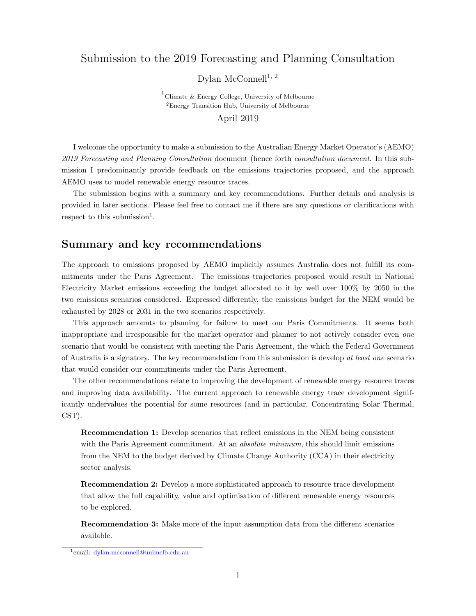### Submission to the 2019 Forecasting and Planning Consultation

Dylan McConnell<sup>1, 2</sup>

 $1$ Climate & Energy College, University of Melbourne <sup>2</sup>Energy Transition Hub, University of Melbourne April 2019

I welcome the opportunity to make a submission to the Australian Energy Market Operator's (AEMO) 2019 Forecasting and Planning Consultation document (hence forth consultation document. In this submission I predominantly provide feedback on the emissions trajectories proposed, and the approach AEMO uses to model renewable energy resource traces.

The submission begins with a summary and key recommendations. Further details and analysis is provided in later sections. Please feel free to contact me if there are any questions or clarifications with respect to this submission<sup>[1](#page-0-0)</sup>.

### Summary and key recommendations

The approach to emissions proposed by AEMO implicitly assumes Australia does not fulfill its commitments under the Paris Agreement. The emissions trajectories proposed would result in National Electricity Market emissions exceeding the budget allocated to it by well over 100% by 2050 in the two emissions scenarios considered. Expressed differently, the emissions budget for the NEM would be exhausted by 2028 or 2031 in the two scenarios respectively.

This approach amounts to planning for failure to meet our Paris Commitments. It seems both inappropriate and irresponsible for the market operator and planner to not actively consider even one scenario that would be consistent with meeting the Paris Agreement, the which the Federal Government of Australia is a signatory. The key recommendation from this submission is develop at least one scenario that would consider our commitments under the Paris Agreement.

The other recommendations relate to improving the development of renewable energy resource traces and improving data availability. The current approach to renewable energy trace development significantly undervalues the potential for some resources (and in particular, Concentrating Solar Thermal, CST).

Recommendation 1: Develop scenarios that reflect emissions in the NEM being consistent with the Paris Agreement commitment. At an *absolute minimum*, this should limit emissions from the NEM to the budget derived by Climate Change Authority (CCA) in their electricity sector analysis.

Recommendation 2: Develop a more sophisticated approach to resource trace development that allow the full capability, value and optimisation of different renewable energy resources to be explored.

Recommendation 3: Make more of the input assumption data from the different scenarios available.

<span id="page-0-0"></span><sup>1</sup>email: [dylan.mcconnell@unimelb.edu.au]( mailto:dylan.mcconnell@unimelb.edu.au)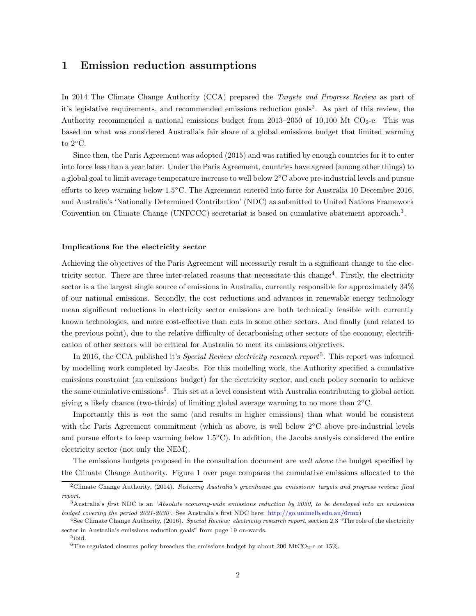### 1 Emission reduction assumptions

In 2014 The Climate Change Authority (CCA) prepared the *Targets and Progress Review* as part of it's legislative requirements, and recommended emissions reduction goals<sup>[2](#page-1-0)</sup>. As part of this review, the Authority recommended a national emissions budget from 2013–2050 of 10,100 Mt  $CO<sub>2</sub>$ -e. This was based on what was considered Australia's fair share of a global emissions budget that limited warming to  $2^{\circ}$ C.

Since then, the Paris Agreement was adopted (2015) and was ratified by enough countries for it to enter into force less than a year later. Under the Paris Agreement, countries have agreed (among other things) to a global goal to limit average temperature increase to well below 2◦C above pre-industrial levels and pursue efforts to keep warming below 1.5◦C. The Agreement entered into force for Australia 10 December 2016, and Australia's 'Nationally Determined Contribution' (NDC) as submitted to United Nations Framework Convention on Climate Change (UNFCCC) secretariat is based on cumulative abatement approach.<sup>[3](#page-1-1)</sup>.

#### Implications for the electricity sector

Achieving the objectives of the Paris Agreement will necessarily result in a significant change to the elec-tricity sector. There are three inter-related reasons that necessitate this change<sup>[4](#page-1-2)</sup>. Firstly, the electricity sector is a the largest single source of emissions in Australia, currently responsible for approximately 34% of our national emissions. Secondly, the cost reductions and advances in renewable energy technology mean significant reductions in electricity sector emissions are both technically feasible with currently known technologies, and more cost-effective than cuts in some other sectors. And finally (and related to the previous point), due to the relative difficulty of decarbonising other sectors of the economy, electrification of other sectors will be critical for Australia to meet its emissions objectives.

In 2016, the CCA published it's *Special Review electricity research report*<sup>[5](#page-1-3)</sup>. This report was informed by modelling work completed by Jacobs. For this modelling work, the Authority specified a cumulative emissions constraint (an emissions budget) for the electricity sector, and each policy scenario to achieve the same cumulative emissions<sup>[6](#page-1-4)</sup>. This set at a level consistent with Australia contributing to global action giving a likely chance (two-thirds) of limiting global average warming to no more than  $2°C$ .

Importantly this is not the same (and results in higher emissions) than what would be consistent with the Paris Agreement commitment (which as above, is well below 2<sup>°</sup>C above pre-industrial levels and pursue efforts to keep warming below 1.5◦C). In addition, the Jacobs analysis considered the entire electricity sector (not only the NEM).

The emissions budgets proposed in the consultation document are well above the budget specified by the Climate Change Authority. Figure [1](#page-2-0) over page compares the cumulative emissions allocated to the

<span id="page-1-0"></span> $2$ Climate Change Authority, (2014). Reducing Australia's greenhouse gas emissions: targets and progress review: final report.

<span id="page-1-1"></span><sup>3</sup>Australia's first NDC is an 'Absolute economy-wide emissions reduction by 2030, to be developed into an emissions budget covering the period 2021-2030'. See Australia's first NDC here: [http://go.unimelb.edu.au/6rmx\)]( http://go.unimelb.edu.au/6rmx)

<span id="page-1-2"></span><sup>&</sup>lt;sup>4</sup>See Climate Change Authority, (2016). Special Review: electricity research report, section 2.3 "The role of the electricity sector in Australia's emissions reduction goals" from page 19 on-wards.

<span id="page-1-3"></span><sup>5</sup> ibid.

<span id="page-1-4"></span><sup>&</sup>lt;sup>6</sup>The regulated closures policy breaches the emissions budget by about 200 MtCO<sub>2</sub>-e or 15%.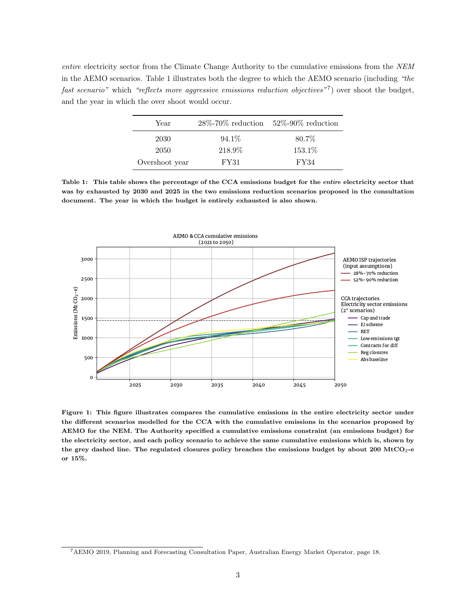<span id="page-2-1"></span>entire electricity sector from the Climate Change Authority to the cumulative emissions from the NEM in the AEMO scenarios. Table [1](#page-2-1) illustrates both the degree to which the AEMO scenario (including "the fast scenario" which "reflects more aggressive emissions reduction objectives"<sup>[7](#page-2-2)</sup>) over shoot the budget, and the year in which the over shoot would occur.

| Year           |          | $28\%$ -70\% reduction 52\%-90\% reduction |
|----------------|----------|--------------------------------------------|
| 2030           | $94.1\%$ | 80.7%                                      |
| 2050           | 218.9%   | 153.1%                                     |
| Overshoot year | FY31     | FY34                                       |

Table 1: This table shows the percentage of the CCA emissions budget for the entire electricity sector that was by exhausted by 2030 and 2025 in the two emissions reduction scenarios proposed in the consultation document. The year in which the budget is entirely exhausted is also shown.

<span id="page-2-0"></span>

Figure 1: This figure illustrates compares the cumulative emissions in the entire electricity sector under the different scenarios modelled for the CCA with the cumulative emissions in the scenarios proposed by AEMO for the NEM. The Authority specified a cumulative emissions constraint (an emissions budget) for the electricity sector, and each policy scenario to achieve the same cumulative emissions which is, shown by the grey dashed line. The regulated closures policy breaches the emissions budget by about  $200 \text{ MtCO}_2$ -e or 15%.

<span id="page-2-2"></span><sup>7</sup>AEMO 2019, Planning and Forecasting Consultation Paper, Australian Energy Market Operator, page 18.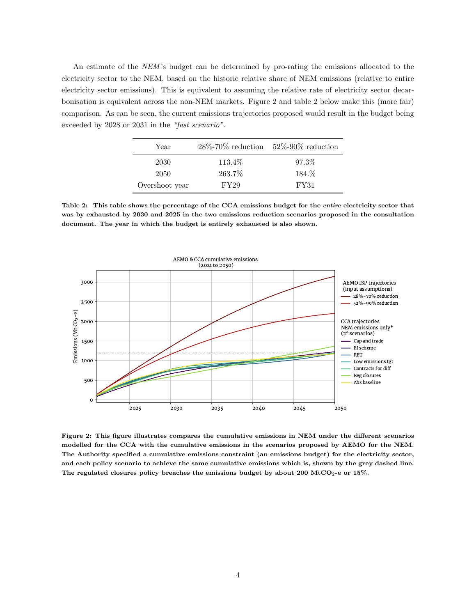<span id="page-3-1"></span>An estimate of the NEM 's budget can be determined by pro-rating the emissions allocated to the electricity sector to the NEM, based on the historic relative share of NEM emissions (relative to entire electricity sector emissions). This is equivalent to assuming the relative rate of electricity sector decarbonisation is equivalent across the non-NEM markets. Figure [2](#page-3-0) and table [2](#page-3-1) below make this (more fair) comparison. As can be seen, the current emissions trajectories proposed would result in the budget being exceeded by 2028 or 2031 in the "fast scenario".

| Year           | $28\%$ -70% reduction | $52\% - 90\%$ reduction |
|----------------|-----------------------|-------------------------|
| 2030           | 113.4\%               | 97.3%                   |
| 2050           | 263.7%                | 184.\%                  |
| Overshoot year | FY29                  | <b>FY31</b>             |

Table 2: This table shows the percentage of the CCA emissions budget for the entire electricity sector that was by exhausted by 2030 and 2025 in the two emissions reduction scenarios proposed in the consultation document. The year in which the budget is entirely exhausted is also shown.

<span id="page-3-0"></span>

Figure 2: This figure illustrates compares the cumulative emissions in NEM under the different scenarios modelled for the CCA with the cumulative emissions in the scenarios proposed by AEMO for the NEM. The Authority specified a cumulative emissions constraint (an emissions budget) for the electricity sector, and each policy scenario to achieve the same cumulative emissions which is, shown by the grey dashed line. The regulated closures policy breaches the emissions budget by about 200 MtCO<sub>2</sub>-e or 15%.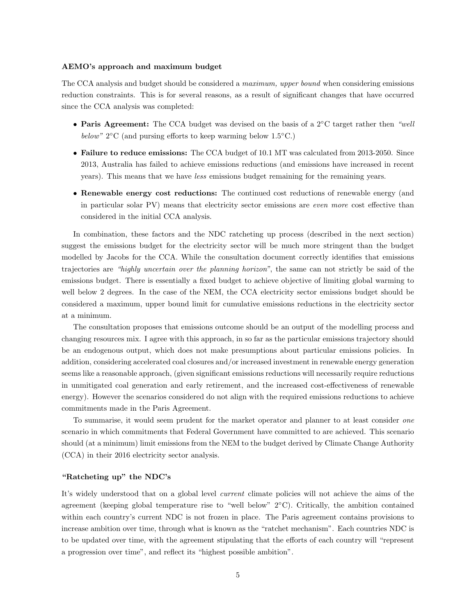#### AEMO's approach and maximum budget

The CCA analysis and budget should be considered a *maximum, upper bound* when considering emissions reduction constraints. This is for several reasons, as a result of significant changes that have occurred since the CCA analysis was completed:

- Paris Agreement: The CCA budget was devised on the basis of a 2℃ target rather then "well below"  $2$ °C (and pursing efforts to keep warming below  $1.5$ °C.)
- Failure to reduce emissions: The CCA budget of 10.1 MT was calculated from 2013-2050. Since 2013, Australia has failed to achieve emissions reductions (and emissions have increased in recent years). This means that we have less emissions budget remaining for the remaining years.
- Renewable energy cost reductions: The continued cost reductions of renewable energy (and in particular solar PV) means that electricity sector emissions are even more cost effective than considered in the initial CCA analysis.

In combination, these factors and the NDC ratcheting up process (described in the next section) suggest the emissions budget for the electricity sector will be much more stringent than the budget modelled by Jacobs for the CCA. While the consultation document correctly identifies that emissions trajectories are "highly uncertain over the planning horizon", the same can not strictly be said of the emissions budget. There is essentially a fixed budget to achieve objective of limiting global warming to well below 2 degrees. In the case of the NEM, the CCA electricity sector emissions budget should be considered a maximum, upper bound limit for cumulative emissions reductions in the electricity sector at a minimum.

The consultation proposes that emissions outcome should be an output of the modelling process and changing resources mix. I agree with this approach, in so far as the particular emissions trajectory should be an endogenous output, which does not make presumptions about particular emissions policies. In addition, considering accelerated coal closures and/or increased investment in renewable energy generation seems like a reasonable approach, (given significant emissions reductions will necessarily require reductions in unmitigated coal generation and early retirement, and the increased cost-effectiveness of renewable energy). However the scenarios considered do not align with the required emissions reductions to achieve commitments made in the Paris Agreement.

To summarise, it would seem prudent for the market operator and planner to at least consider one scenario in which commitments that Federal Government have committed to are achieved. This scenario should (at a minimum) limit emissions from the NEM to the budget derived by Climate Change Authority (CCA) in their 2016 electricity sector analysis.

#### "Ratcheting up" the NDC's

It's widely understood that on a global level *current* climate policies will not achieve the aims of the agreement (keeping global temperature rise to "well below" 2◦C). Critically, the ambition contained within each country's current NDC is not frozen in place. The Paris agreement contains provisions to increase ambition over time, through what is known as the "ratchet mechanism". Each countries NDC is to be updated over time, with the agreement stipulating that the efforts of each country will "represent a progression over time", and reflect its "highest possible ambition".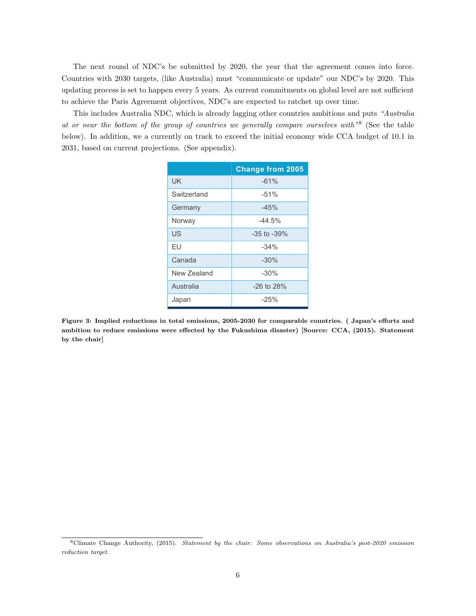The next round of NDC's be submitted by 2020, the year that the agreement comes into force. Countries with 2030 targets, (like Australia) must "communicate or update" our NDC's by 2020. This updating process is set to happen every 5 years. As current commitments on global level are not sufficient to achieve the Paris Agreement objectives, NDC's are expected to ratchet up over time.

This includes Australia NDC, which is already lagging other countries ambitions and puts "Australia at or near the bottom of the group of countries we generally compare ourselves with<sup>"[8](#page-5-0)</sup> (See the table below). In addition, we a currently on track to exceed the initial economy wide CCA budget of 10.1 in 2031, based on current projections. (See appendix).

|             | <b>Change from 2005</b> |  |
|-------------|-------------------------|--|
| <b>UK</b>   | $-61%$                  |  |
| Switzerland | $-51%$                  |  |
| Germany     | $-45%$                  |  |
| Norway      | $-44.5%$                |  |
| US          | $-35$ to $-39%$         |  |
| FU          | $-34%$                  |  |
| Canada      | $-30%$                  |  |
| New Zealand | $-30%$                  |  |
| Australia   | $-26$ to $28%$          |  |
| Japan       | $-25%$                  |  |

Figure 3: Implied reductions in total emissions, 2005-2030 for comparable countries. ( Japan's efforts and ambition to reduce emissions were effected by the Fukushima disaster) [Source: CCA, (2015). Statement by the chair]

<span id="page-5-0"></span><sup>8</sup>Climate Change Authority, (2015). Statement by the chair: Some observations on Australia's post-2020 emission reduction target.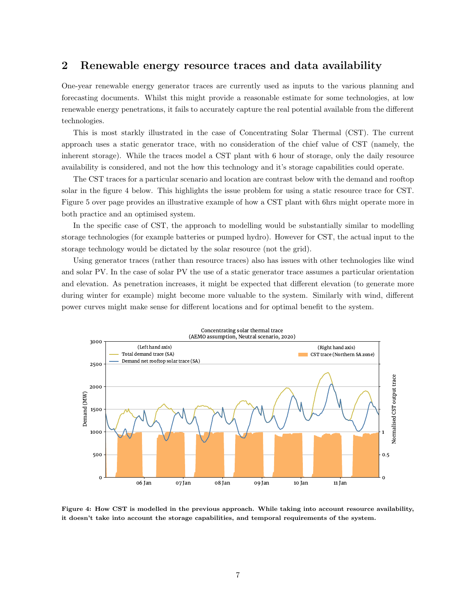### 2 Renewable energy resource traces and data availability

One-year renewable energy generator traces are currently used as inputs to the various planning and forecasting documents. Whilst this might provide a reasonable estimate for some technologies, at low renewable energy penetrations, it fails to accurately capture the real potential available from the different technologies.

This is most starkly illustrated in the case of Concentrating Solar Thermal (CST). The current approach uses a static generator trace, with no consideration of the chief value of CST (namely, the inherent storage). While the traces model a CST plant with 6 hour of storage, only the daily resource availability is considered, and not the how this technology and it's storage capabilities could operate.

The CST traces for a particular scenario and location are contrast below with the demand and rooftop solar in the figure [4](#page-6-0) below. This highlights the issue problem for using a static resource trace for CST. Figure [5](#page-7-0) over page provides an illustrative example of how a CST plant with 6hrs might operate more in both practice and an optimised system.

In the specific case of CST, the approach to modelling would be substantially similar to modelling storage technologies (for example batteries or pumped hydro). However for CST, the actual input to the storage technology would be dictated by the solar resource (not the grid).

Using generator traces (rather than resource traces) also has issues with other technologies like wind and solar PV. In the case of solar PV the use of a static generator trace assumes a particular orientation and elevation. As penetration increases, it might be expected that different elevation (to generate more during winter for example) might become more valuable to the system. Similarly with wind, different power curves might make sense for different locations and for optimal benefit to the system.

<span id="page-6-0"></span>

Figure 4: How CST is modelled in the previous approach. While taking into account resource availability, it doesn't take into account the storage capabilities, and temporal requirements of the system.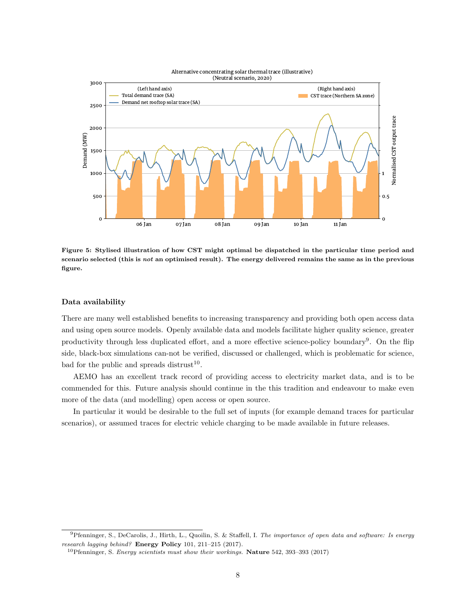<span id="page-7-0"></span>

Figure 5: Stylised illustration of how CST might optimal be dispatched in the particular time period and scenario selected (this is not an optimised result). The energy delivered remains the same as in the previous figure.

#### Data availability

There are many well established benefits to increasing transparency and providing both open access data and using open source models. Openly available data and models facilitate higher quality science, greater productivity through less duplicated effort, and a more effective science-policy boundary<sup>[9](#page-7-1)</sup>. On the flip side, black-box simulations can-not be verified, discussed or challenged, which is problematic for science, bad for the public and spreads distrust<sup>[10](#page-7-2)</sup>.

AEMO has an excellent track record of providing access to electricity market data, and is to be commended for this. Future analysis should continue in the this tradition and endeavour to make even more of the data (and modelling) open access or open source.

In particular it would be desirable to the full set of inputs (for example demand traces for particular scenarios), or assumed traces for electric vehicle charging to be made available in future releases.

<span id="page-7-1"></span><sup>9</sup>Pfenninger, S., DeCarolis, J., Hirth, L., Quoilin, S. & Staffell, I. The importance of open data and software: Is energy research lagging behind? Energy Policy 101, 211–215 (2017).

<span id="page-7-2"></span><sup>&</sup>lt;sup>10</sup>Pfenninger, S. *Energy scientists must show their workings*. **Nature** 542, 393-393 (2017)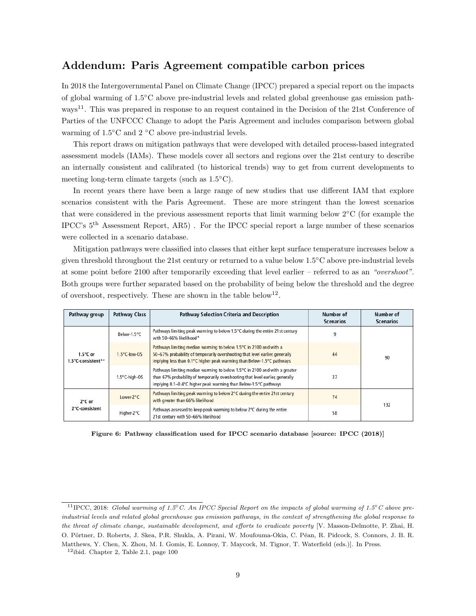### Addendum: Paris Agreement compatible carbon prices

In 2018 the Intergovernmental Panel on Climate Change (IPCC) prepared a special report on the impacts of global warming of 1.5◦C above pre-industrial levels and related global greenhouse gas emission path-ways<sup>[11](#page-8-0)</sup>. This was prepared in response to an request contained in the Decision of the 21st Conference of Parties of the UNFCCC Change to adopt the Paris Agreement and includes comparison between global warming of 1.5℃ and 2 °C above pre-industrial levels.

This report draws on mitigation pathways that were developed with detailed process-based integrated assessment models (IAMs). These models cover all sectors and regions over the 21st century to describe an internally consistent and calibrated (to historical trends) way to get from current developments to meeting long-term climate targets (such as 1.5◦C).

In recent years there have been a large range of new studies that use different IAM that explore scenarios consistent with the Paris Agreement. These are more stringent than the lowest scenarios that were considered in the previous assessment reports that limit warming below 2◦C (for example the IPCC's 5th Assessment Report, AR5) . For the IPCC special report a large number of these scenarios were collected in a scenario database.

Mitigation pathways were classified into classes that either kept surface temperature increases below a given threshold throughout the 21st century or returned to a value below 1.5◦C above pre-industrial levels at some point before 2100 after temporarily exceeding that level earlier – referred to as an "overshoot". Both groups were further separated based on the probability of being below the threshold and the degree of overshoot, respectively. These are shown in the table below<sup>[12](#page-8-1)</sup>.

<span id="page-8-2"></span>

| Pathway group                            | <b>Pathway Class</b>   | Pathway Selection Criteria and Description                                                                                                                                                                                       | Number of<br><b>Scenarios</b> | Number of<br><b>Scenarios</b> |
|------------------------------------------|------------------------|----------------------------------------------------------------------------------------------------------------------------------------------------------------------------------------------------------------------------------|-------------------------------|-------------------------------|
| $1.5^{\circ}$ C or<br>1.5°C-consistent** | Below-1.5°C            | Pathways limiting peak warming to below 1.5°C during the entire 21st century<br>with 50-66% likelihood*                                                                                                                          | 9                             |                               |
|                                          | $1.5^{\circ}$ C-low-OS | Pathways limiting median warming to below 1.5°C in 2100 and with a<br>50-67% probability of temporarily overshooting that level earlier, generally<br>implying less than 0.1°C higher peak warming than Below-1.5°C pathways     | 44                            | 90                            |
|                                          | 1.5°C-high-OS          | Pathways limiting median warming to below 1.5°C in 2100 and with a greater<br>than 67% probability of temporarily overshooting that level earlier, generally<br>implying 0.1-0.4°C higher peak warming than Below-1.5°C pathways | 37                            |                               |
| 2°C or<br>2°C-consistent                 | Lower-2°C              | Pathways limiting peak warming to below 2°C during the entire 21st century<br>with greater than 66% likelihood                                                                                                                   | 74                            | 132                           |
|                                          | Higher-2°C             | Pathways assessed to keep peak warming to below 2°C during the entire<br>21 st century with 50-66% likelihood                                                                                                                    | 58                            |                               |

Figure 6: Pathway classification used for IPCC scenario database [source: IPCC (2018)]

<span id="page-8-0"></span><sup>&</sup>lt;sup>11</sup>IPCC, 2018: Global warming of 1.5℃. An IPCC Special Report on the impacts of global warming of 1.5°C above preindustrial levels and related global greenhouse gas emission pathways, in the context of strengthening the global response to the threat of climate change, sustainable development, and efforts to eradicate poverty [V. Masson-Delmotte, P. Zhai, H. O. Pörtner, D. Roberts, J. Skea, P.R. Shukla, A. Pirani, W. Moufouma-Okia, C. Péan, R. Pidcock, S. Connors, J. B. R. Matthews, Y. Chen, X. Zhou, M. I. Gomis, E. Lonnoy, T. Maycock, M. Tignor, T. Waterfield (eds.)]. In Press.

<span id="page-8-1"></span> $12$ ibid. Chapter 2, Table 2.1, page 100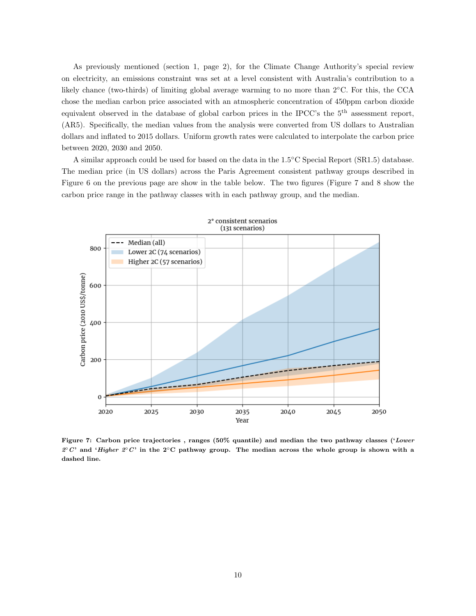As previously mentioned (section 1, page 2), for the Climate Change Authority's special review on electricity, an emissions constraint was set at a level consistent with Australia's contribution to a likely chance (two-thirds) of limiting global average warming to no more than 2◦C. For this, the CCA chose the median carbon price associated with an atmospheric concentration of 450ppm carbon dioxide equivalent observed in the database of global carbon prices in the IPCC's the 5th assessment report, (AR5). Specifically, the median values from the analysis were converted from US dollars to Australian dollars and inflated to 2015 dollars. Uniform growth rates were calculated to interpolate the carbon price between 2020, 2030 and 2050.

A similar approach could be used for based on the data in the 1.5◦C Special Report (SR1.5) database. The median price (in US dollars) across the Paris Agreement consistent pathway groups described in Figure [6](#page-8-2) on the previous page are show in the table below. The two figures (Figure [7](#page-9-0) and [8](#page-10-0) show the carbon price range in the pathway classes with in each pathway group, and the median.

<span id="page-9-0"></span>

Figure 7: Carbon price trajectories, ranges (50% quantile) and median the two pathway classes ('Lower  $2^{\circ}C'$  and 'Higher  $2^{\circ}C'$  in the  $2^{\circ}C$  pathway group. The median across the whole group is shown with a dashed line.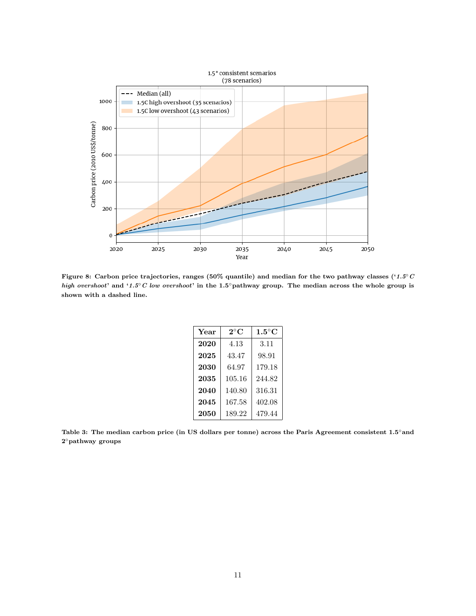<span id="page-10-0"></span>

Figure 8: Carbon price trajectories, ranges (50% quantile) and median for the two pathway classes ('1.5◦C high overshoot' and '1.5°C low overshoot' in the 1.5°pathway group. The median across the whole group is shown with a dashed line.

| Year | $2^{\circ}C$ | $1.5^{\circ}$ C |
|------|--------------|-----------------|
| 2020 | 4.13         | 3.11            |
| 2025 | 43.47        | 98.91           |
| 2030 | 64.97        | 179.18          |
| 2035 | 105.16       | 244.82          |
| 2040 | 140.80       | 316.31          |
| 2045 | 167.58       | 402.08          |
| 2050 | 189.22       | 479.44          |

Table 3: The median carbon price (in US dollars per tonne) across the Paris Agreement consistent 1.5°and 2 ◦pathway groups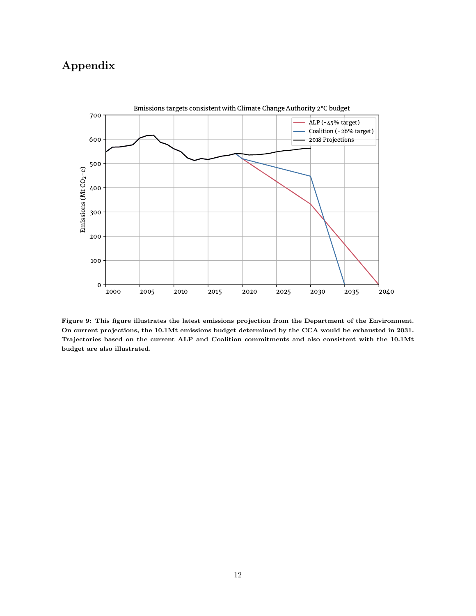# Appendix



Figure 9: This figure illustrates the latest emissions projection from the Department of the Environment. On current projections, the 10.1Mt emissions budget determined by the CCA would be exhausted in 2031. Trajectories based on the current ALP and Coalition commitments and also consistent with the 10.1Mt budget are also illustrated.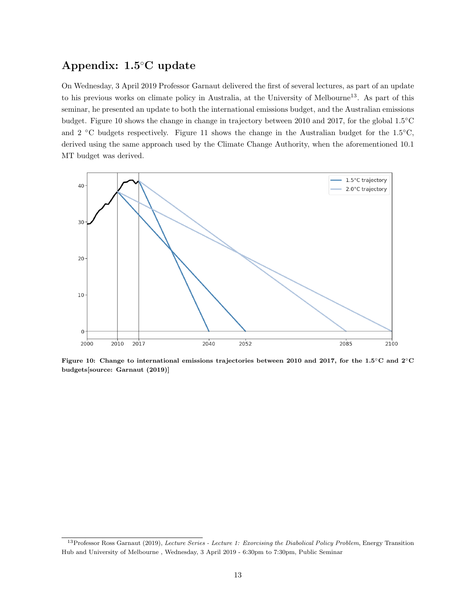## Appendix: 1.5◦C update

On Wednesday, 3 April 2019 Professor Garnaut delivered the first of several lectures, as part of an update to his previous works on climate policy in Australia, at the University of Melbourne<sup>[13](#page-12-0)</sup>. As part of this seminar, he presented an update to both the international emissions budget, and the Australian emissions budget. Figure [10](#page-12-1) shows the change in change in trajectory between 2010 and 2017, for the global 1.5◦C and 2  $\degree$ C budgets respectively. Figure [11](#page-13-0) shows the change in the Australian budget for the 1.5 $\degree$ C, derived using the same approach used by the Climate Change Authority, when the aforementioned 10.1 MT budget was derived.

<span id="page-12-1"></span>

Figure 10: Change to international emissions trajectories between 2010 and 2017, for the 1.5◦C and 2◦C budgets[source: Garnaut (2019)]

<span id="page-12-0"></span><sup>&</sup>lt;sup>13</sup>Professor Ross Garnaut (2019), Lecture Series - Lecture 1: Exorcising the Diabolical Policy Problem, Energy Transition Hub and University of Melbourne , Wednesday, 3 April 2019 - 6:30pm to 7:30pm, Public Seminar